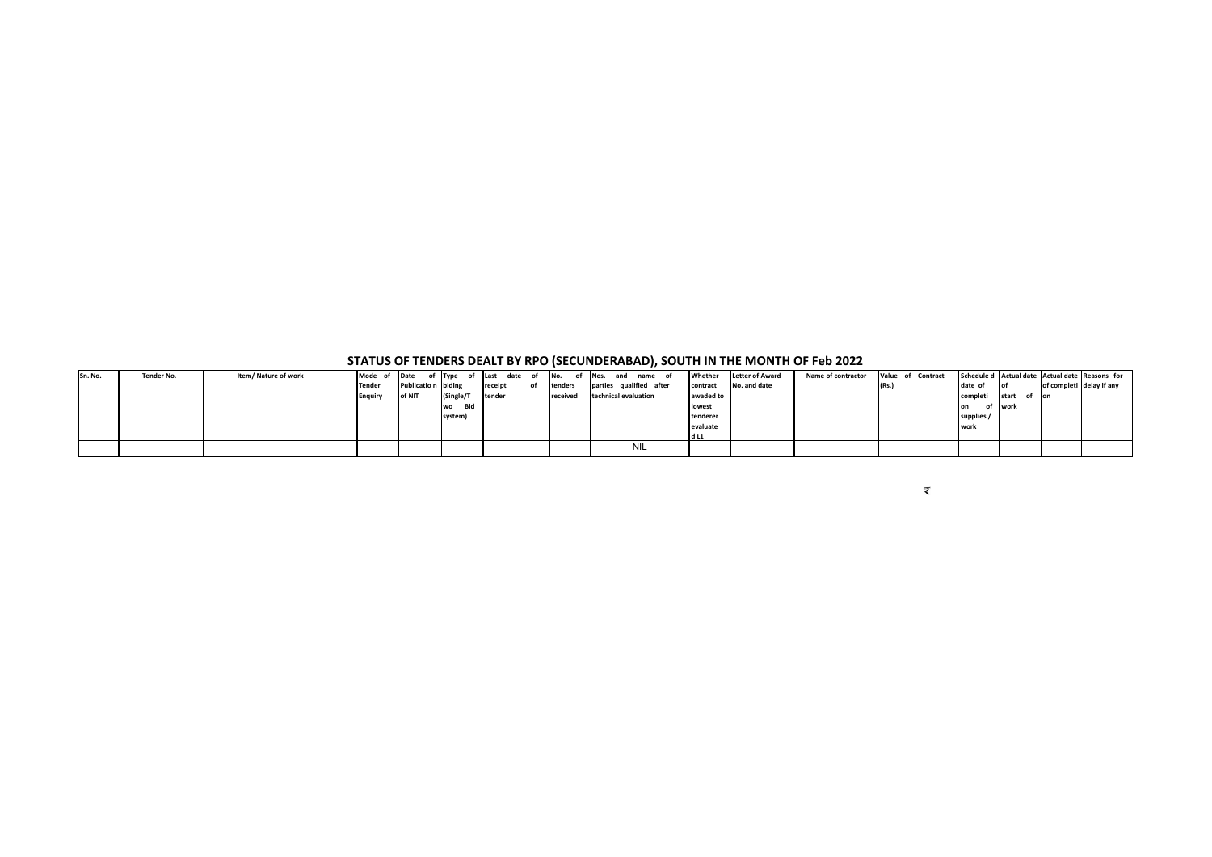**STATUS OF TENDERS DEALT BY RPO (SECUNDERABAD), SOUTH IN THE MONTH OF Feb 2022**

|         |            |                      | ____           |                     |               |                     |    | __        |                         |            | .       |           |                        |                    |                   |            |               |                          |                                                |
|---------|------------|----------------------|----------------|---------------------|---------------|---------------------|----|-----------|-------------------------|------------|---------|-----------|------------------------|--------------------|-------------------|------------|---------------|--------------------------|------------------------------------------------|
| Sn. No. | Tender No. | Item/ Nature of work | Mode of        | Date                | of Type<br>of | date<br><b>Last</b> | of | INo.      | INos.                   | and        | name of | Whether   | <b>Letter of Award</b> | Name of contractor | Value of Contract |            |               |                          | Schedule d Actual date Actual date Reasons for |
|         |            |                      | <b>Tender</b>  | Publicatio n biding |               | receipt             | of | tenders   | parties qualified after |            |         | contract  | No. and date           |                    | (Rs.              | date of    | <b>of</b>     | of completi delay if any |                                                |
|         |            |                      | <b>Enguiry</b> | of NIT              | (Single/T     | tender              |    | receivec. | technical evaluation    |            |         | awaded to |                        |                    |                   | completi   | start         | <b>Port</b>              |                                                |
|         |            |                      |                |                     | Bid<br>wo     |                     |    |           |                         |            |         | lowest    |                        |                    |                   | of<br>on   | <b>I</b> work |                          |                                                |
|         |            |                      |                |                     | system)       |                     |    |           |                         |            |         | tenderer  |                        |                    |                   | supplies / |               |                          |                                                |
|         |            |                      |                |                     |               |                     |    |           |                         |            |         | evaluate  |                        |                    |                   | work       |               |                          |                                                |
|         |            |                      |                |                     |               |                     |    |           |                         |            |         | d L1      |                        |                    |                   |            |               |                          |                                                |
|         |            |                      |                |                     |               |                     |    |           |                         | <b>NIL</b> |         |           |                        |                    |                   |            |               |                          |                                                |
|         |            |                      |                |                     |               |                     |    |           |                         |            |         |           |                        |                    |                   |            |               |                          |                                                |

₹